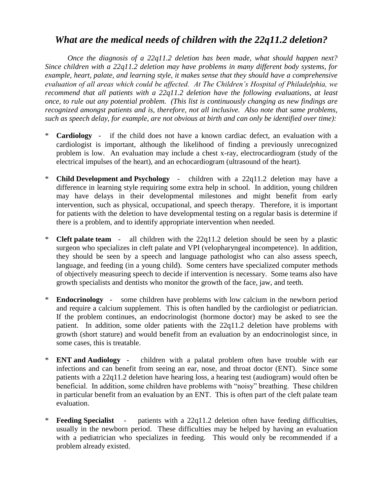## *What are the medical needs of children with the 22q11.2 deletion?*

*Once the diagnosis of a 22q11.2 deletion has been made, what should happen next? Since children with a 22q11.2 deletion may have problems in many different body systems, for example, heart, palate, and learning style, it makes sense that they should have a comprehensive evaluation of all areas which could be affected. At The Children's Hospital of Philadelphia, we recommend that all patients with a 22q11.2 deletion have the following evaluations, at least once, to rule out any potential problem. (This list is continuously changing as new findings are recognized amongst patients and is, therefore, not all inclusive. Also note that same problems, such as speech delay, for example, are not obvious at birth and can only be identified over time):*

- \* **Cardiology** if the child does not have a known cardiac defect, an evaluation with a cardiologist is important, although the likelihood of finding a previously unrecognized problem is low. An evaluation may include a chest x-ray, electrocardiogram (study of the electrical impulses of the heart), and an echocardiogram (ultrasound of the heart).
- **Child Development and Psychology** children with a 22q11.2 deletion may have a difference in learning style requiring some extra help in school. In addition, young children may have delays in their developmental milestones and might benefit from early intervention, such as physical, occupational, and speech therapy. Therefore, it is important for patients with the deletion to have developmental testing on a regular basis is determine if there is a problem, and to identify appropriate intervention when needed.
- \* **Cleft palate team** all children with the 22q11.2 deletion should be seen by a plastic surgeon who specializes in cleft palate and VPI (velopharyngeal incompetence). In addition, they should be seen by a speech and language pathologist who can also assess speech, language, and feeding (in a young child). Some centers have specialized computer methods of objectively measuring speech to decide if intervention is necessary. Some teams also have growth specialists and dentists who monitor the growth of the face, jaw, and teeth.
- **Endocrinology** some children have problems with low calcium in the newborn period and require a calcium supplement. This is often handled by the cardiologist or pediatrician. If the problem continues, an endocrinologist (hormone doctor) may be asked to see the patient. In addition, some older patients with the 22q11.2 deletion have problems with growth (short stature) and would benefit from an evaluation by an endocrinologist since, in some cases, this is treatable.
- \* **ENT and Audiology** children with a palatal problem often have trouble with ear infections and can benefit from seeing an ear, nose, and throat doctor (ENT). Since some patients with a 22q11.2 deletion have hearing loss, a hearing test (audiogram) would often be beneficial. In addition, some children have problems with "noisy" breathing. These children in particular benefit from an evaluation by an ENT. This is often part of the cleft palate team evaluation.
- **Feeding Specialist** patients with a 22q11.2 deletion often have feeding difficulties, usually in the newborn period. These difficulties may be helped by having an evaluation with a pediatrician who specializes in feeding. This would only be recommended if a problem already existed.